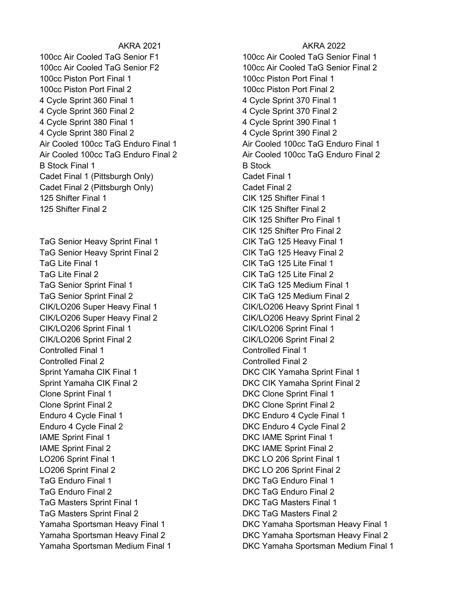100cc Air Cooled TaG Senior F1 100cc Air Cooled TaG Senior Final 1 100cc Air Cooled TaG Senior F2 100cc Air Cooled TaG Senior Final 2 100cc Piston Port Final 1 100cc Piston Port Final 1 100cc Piston Port Final 2 100cc Piston Port Final 2 4 Cycle Sprint 360 Final 1 4 Cycle Sprint 370 Final 1 4 Cycle Sprint 360 Final 2 4 Cycle Sprint 370 Final 2 4 Cycle Sprint 380 Final 1 4 Cycle Sprint 390 Final 1 4 Cycle Sprint 380 Final 2 4 Cycle Sprint 390 Final 2 Air Cooled 100cc TaG Enduro Final 1 Air Cooled 100cc TaG Enduro Final 1 Air Cooled 100cc TaG Enduro Final 2 Air Cooled 100cc TaG Enduro Final 2 B Stock Final 1 B Stock Cadet Final 1 (Pittsburgh Only) Cadet Final 1 Cadet Final 2 (Pittsburgh Only) Cadet Final 2 125 Shifter Final 1 CIK 125 Shifter Final 1 125 Shifter Final 2 CIK 125 Shifter Final 2

TaG Senior Heavy Sprint Final 1 CIK TaG 125 Heavy Final 1 TaG Senior Heavy Sprint Final 2 CIK TaG 125 Heavy Final 2 TaG Lite Final 1 CIK TaG 125 Lite Final 1 TaG Lite Final 2 CIK TaG 125 Lite Final 2 TaG Senior Sprint Final 1 CIK TaG 125 Medium Final 1 TaG Senior Sprint Final 2 CIK TaG 125 Medium Final 2 CIK/LO206 Super Heavy Final 1 CIK/LO206 Heavy Sprint Final 1 CIK/LO206 Super Heavy Final 2 CIK/LO206 Heavy Sprint Final 2 CIK/LO206 Sprint Final 1 CIK/LO206 Sprint Final 1 CIK/LO206 Sprint Final 2 CIK/LO206 Sprint Final 2 Controlled Final 1 Controlled Final 1 Controlled Final 2 Controlled Final 2 Sprint Yamaha CIK Final 1 DKC CIK Yamaha Sprint Final 1 Sprint Yamaha CIK Final 2 DKC CIK Yamaha Sprint Final 2 Clone Sprint Final 1 DKC Clone Sprint Final 1 Clone Sprint Final 2 DKC Clone Sprint Final 2 Enduro 4 Cycle Final 1 **DKC** Enduro 4 Cycle Final 1 Enduro 4 Cycle Final 2 DKC Enduro 4 Cycle Final 2 IAME Sprint Final 1 DKC IAME Sprint Final 1 IAME Sprint Final 2 DKC IAME Sprint Final 2 LO206 Sprint Final 1 DKC LO 206 Sprint Final 1 LO206 Sprint Final 2 DKC LO 206 Sprint Final 2 TaG Enduro Final 1 DKC TaG Enduro Final 1 TaG Enduro Final 2 DKC TaG Enduro Final 2 TaG Masters Sprint Final 1 **DKC TaG Masters Final 1** TaG Masters Sprint Final 2 DKC TaG Masters Final 2

## AKRA 2021 **AKRA 2022**

CIK 125 Shifter Pro Final 1 CIK 125 Shifter Pro Final 2 Yamaha Sportsman Heavy Final 1 DKC Yamaha Sportsman Heavy Final 1 Yamaha Sportsman Heavy Final 2 DKC Yamaha Sportsman Heavy Final 2 Yamaha Sportsman Medium Final 1 DKC Yamaha Sportsman Medium Final 1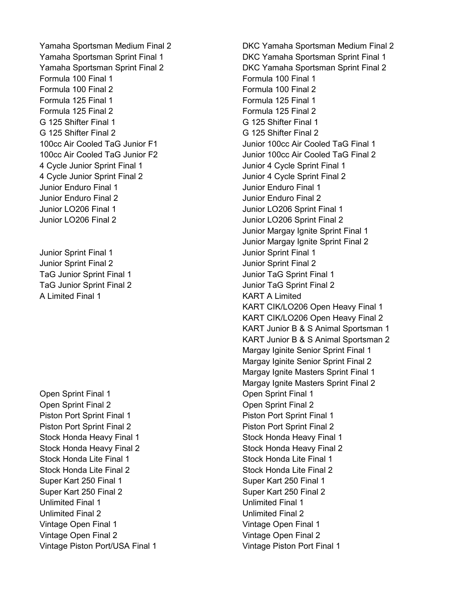Yamaha Sportsman Medium Final 2 DKC Yamaha Sportsman Medium Final 2 Formula 100 Final 1 Formula 100 Final 1 Formula 100 Final 2 Formula 100 Final 2 Formula 125 Final 1 Formula 125 Final 1 Formula 125 Final 2 Formula 125 Final 2 G 125 Shifter Final 1 G 125 Shifter Final 1 G 125 Shifter Final 2 G 125 Shifter Final 2 4 Cycle Junior Sprint Final 1 Junior 4 Cycle Sprint Final 1 4 Cycle Junior Sprint Final 2 Junior 4 Cycle Sprint Final 2 Junior Enduro Final 1 Junior Enduro Final 1 Junior Enduro Final 2 Junior Enduro Final 2 Junior LO206 Final 1 Junior LO206 Sprint Final 1 Junior LO206 Final 2 Junior LO206 Sprint Final 2

Junior Sprint Final 1 Junior Sprint Final 1 Junior Sprint Final 2 Junior Sprint Final 2 TaG Junior Sprint Final 1 and 1 Junior TaG Sprint Final 1 A Limited Final 1 KART A Limited

Open Sprint Final 1 Open Sprint Final 1 Open Sprint Final 2 Open Sprint Final 2 Piston Port Sprint Final 1 Piston Port Sprint Final 1 Piston Port Sprint Final 2 Piston Port Sprint Final 2 Stock Honda Heavy Final 1 Stock Honda Heavy Final 1 Stock Honda Heavy Final 2 Stock Honda Heavy Final 2 Stock Honda Lite Final 1 Stock Honda Lite Final 1 Stock Honda Lite Final 2 Stock Honda Lite Final 2 Super Kart 250 Final 1 Super Kart 250 Final 1 Super Kart 250 Final 2 Super Kart 250 Final 2 Unlimited Final 1 Unlimited Final 1 Unlimited Final 2 Unlimited Final 2 Vintage Open Final 1 Vintage Open Final 1 Vintage Open Final 2 Vintage Open Final 2 Vintage Piston Port/USA Final 1 Vintage Piston Port Final 1

Yamaha Sportsman Sprint Final 1 DKC Yamaha Sportsman Sprint Final 1 Yamaha Sportsman Sprint Final 2 DKC Yamaha Sportsman Sprint Final 2 100cc Air Cooled TaG Junior F1 Junior 100cc Air Cooled TaG Final 1 100cc Air Cooled TaG Junior F2 Junior 100cc Air Cooled TaG Final 2 Junior Margay Ignite Sprint Final 1 Junior Margay Ignite Sprint Final 2 TaG Junior Sprint Final 2 Junior TaG Sprint Final 2 KART CIK/LO206 Open Heavy Final 1 KART CIK/LO206 Open Heavy Final 2 KART Junior B & S Animal Sportsman 1 KART Junior B & S Animal Sportsman 2 Margay Iginite Senior Sprint Final 1 Margay Iginite Senior Sprint Final 2 Margay Ignite Masters Sprint Final 1 Margay Ignite Masters Sprint Final 2